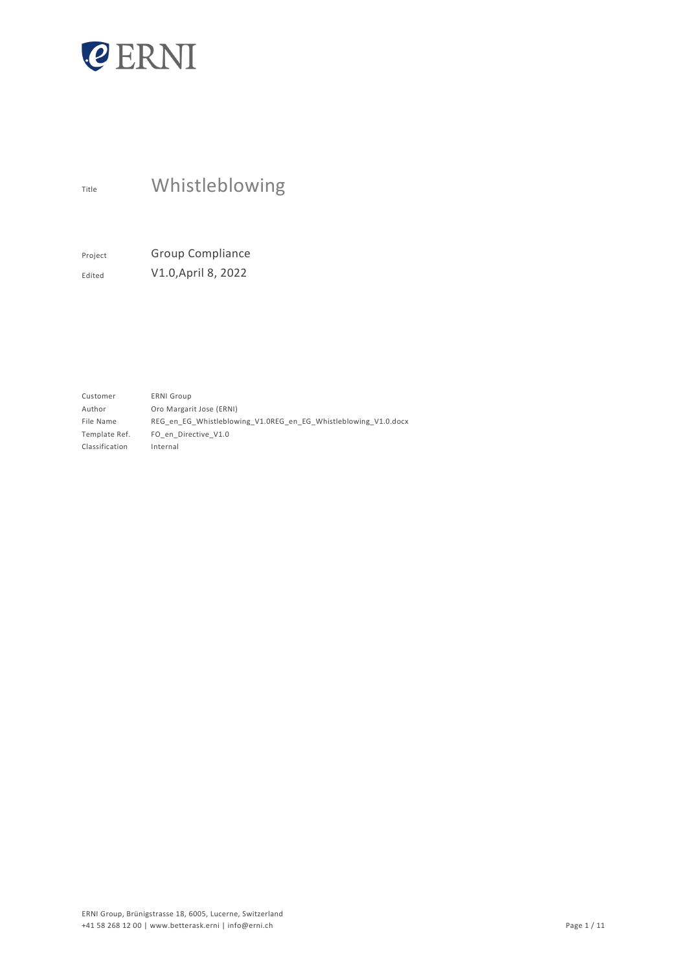

# Title Whistleblowing

Project Group Compliance Edited V1.0,April 8, 2022

Customer Author File Name Template Ref. Classification ERNI Group Oro Margarit Jose (ERNI) REG\_en\_EG\_Whistleblowing\_V1.0REG\_en\_EG\_Whistleblowing\_V1.0.docx FO\_en\_Directive\_V1.0 Internal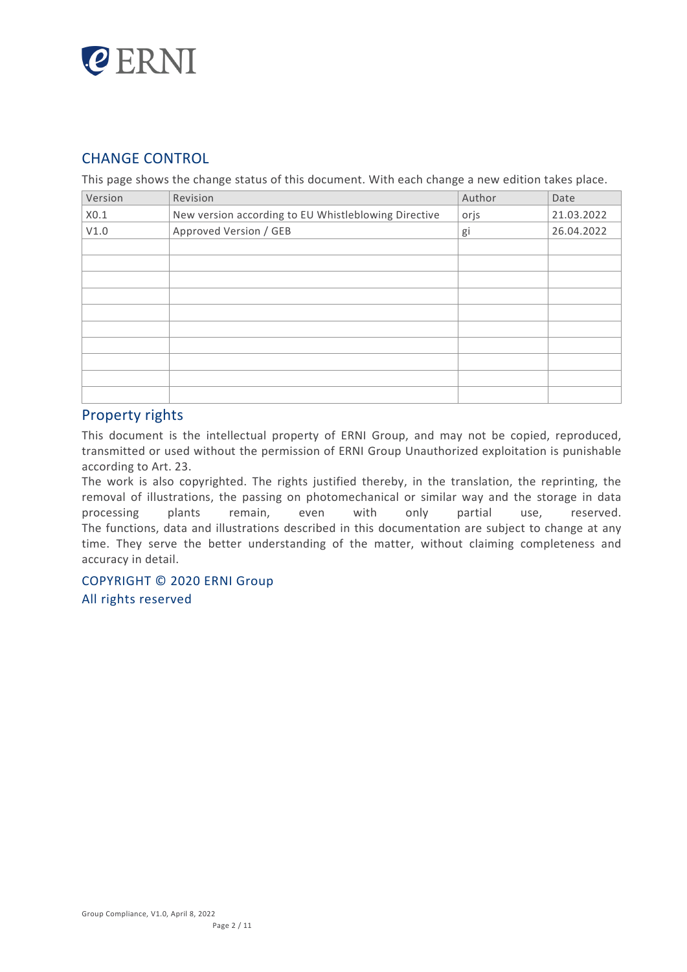

# CHANGE CONTROL

This page shows the change status of this document. With each change a new edition takes place.

| Version | Revision                                             | Author | Date       |
|---------|------------------------------------------------------|--------|------------|
| X0.1    | New version according to EU Whistleblowing Directive | orjs   | 21.03.2022 |
| V1.0    | Approved Version / GEB                               | gi     | 26.04.2022 |
|         |                                                      |        |            |
|         |                                                      |        |            |
|         |                                                      |        |            |
|         |                                                      |        |            |
|         |                                                      |        |            |
|         |                                                      |        |            |
|         |                                                      |        |            |
|         |                                                      |        |            |
|         |                                                      |        |            |
|         |                                                      |        |            |

# Property rights

This document is the intellectual property of ERNI Group, and may not be copied, reproduced, transmitted or used without the permission of ERNI Group Unauthorized exploitation is punishable according to Art. 23.

The work is also copyrighted. The rights justified thereby, in the translation, the reprinting, the removal of illustrations, the passing on photomechanical or similar way and the storage in data processing plants remain, even with only partial use, reserved. The functions, data and illustrations described in this documentation are subject to change at any time. They serve the better understanding of the matter, without claiming completeness and accuracy in detail.

# COPYRIGHT © 2020 ERNI Group

All rights reserved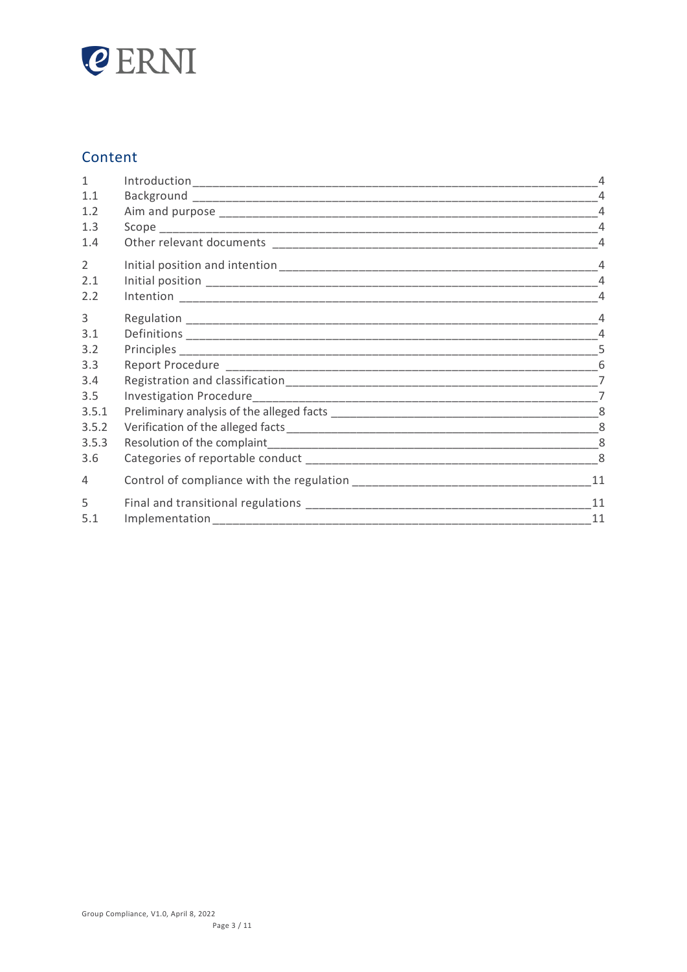

# Content

| $\mathbf{1}$ |                        | 4              |
|--------------|------------------------|----------------|
| 1.1          |                        | $\overline{4}$ |
| 1.2          |                        | $\overline{4}$ |
| 1.3          |                        |                |
| 1.4          |                        | $\overline{4}$ |
| 2            |                        | $\overline{4}$ |
| 2.1          |                        |                |
| 2.2          |                        | $\overline{4}$ |
| 3            |                        | $\overline{4}$ |
| 3.1          |                        | $\overline{4}$ |
| 3.2          |                        | 5              |
| 3.3          |                        |                |
| 3.4          |                        | $\overline{7}$ |
| 3.5          |                        | $\overline{7}$ |
| 3.5.1        |                        | -8             |
| 3.5.2        |                        | 8              |
| 3.5.3        |                        | 8              |
| 3.6          |                        | 8              |
| 4            |                        | 11             |
| 5            |                        | 11             |
| 5.1          | Implementation________ | 11             |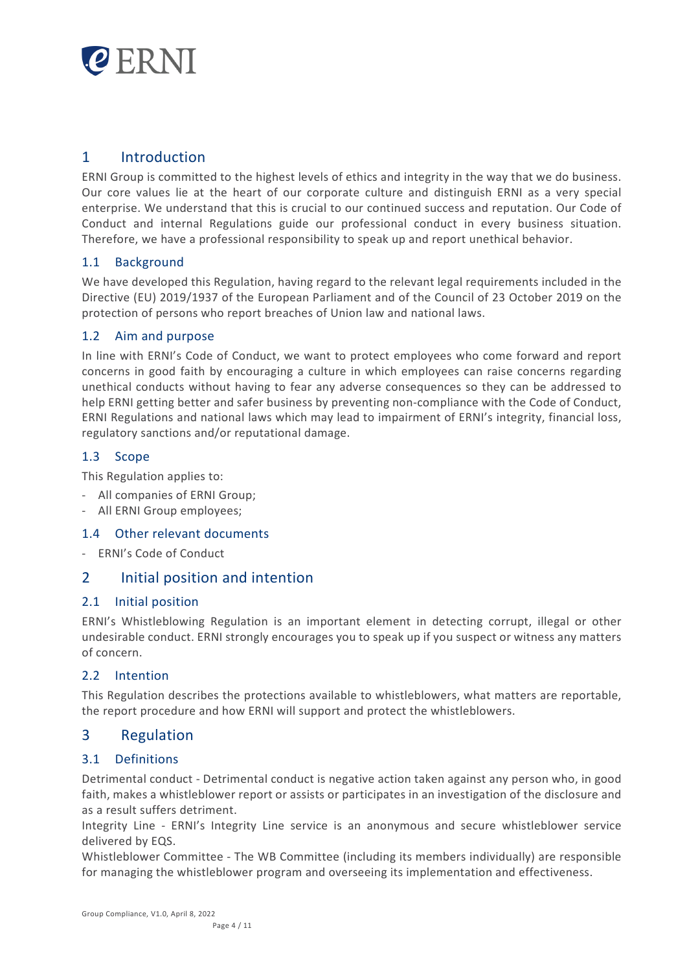

# 1 Introduction

ERNI Group is committed to the highest levels of ethics and integrity in the way that we do business. Our core values lie at the heart of our corporate culture and distinguish ERNI as a very special enterprise. We understand that this is crucial to our continued success and reputation. Our Code of Conduct and internal Regulations guide our professional conduct in every business situation. Therefore, we have a professional responsibility to speak up and report unethical behavior.

# 1.1 Background

We have developed this Regulation, having regard to the relevant legal requirements included in the Directive (EU) 2019/1937 of the European Parliament and of the Council of 23 October 2019 on the protection of persons who report breaches of Union law and national laws.

# 1.2 Aim and purpose

In line with ERNI's Code of Conduct, we want to protect employees who come forward and report concerns in good faith by encouraging a culture in which employees can raise concerns regarding unethical conducts without having to fear any adverse consequences so they can be addressed to help ERNI getting better and safer business by preventing non-compliance with the Code of Conduct, ERNI Regulations and national laws which may lead to impairment of ERNI's integrity, financial loss, regulatory sanctions and/or reputational damage.

# 1.3 Scope

This Regulation applies to:

- All companies of ERNI Group;
- All ERNI Group employees;

# 1.4 Other relevant documents

- ERNI's Code of Conduct

# 2 Initial position and intention

# 2.1 Initial position

ERNI's Whistleblowing Regulation is an important element in detecting corrupt, illegal or other undesirable conduct. ERNI strongly encourages you to speak up if you suspect or witness any matters of concern.

# 2.2 Intention

This Regulation describes the protections available to whistleblowers, what matters are reportable, the report procedure and how ERNI will support and protect the whistleblowers.

# 3 Regulation

# 3.1 Definitions

Detrimental conduct - Detrimental conduct is negative action taken against any person who, in good faith, makes a whistleblower report or assists or participates in an investigation of the disclosure and as a result suffers detriment.

Integrity Line - ERNI's Integrity Line service is an anonymous and secure whistleblower service delivered by EQS.

Whistleblower Committee - The WB Committee (including its members individually) are responsible for managing the whistleblower program and overseeing its implementation and effectiveness.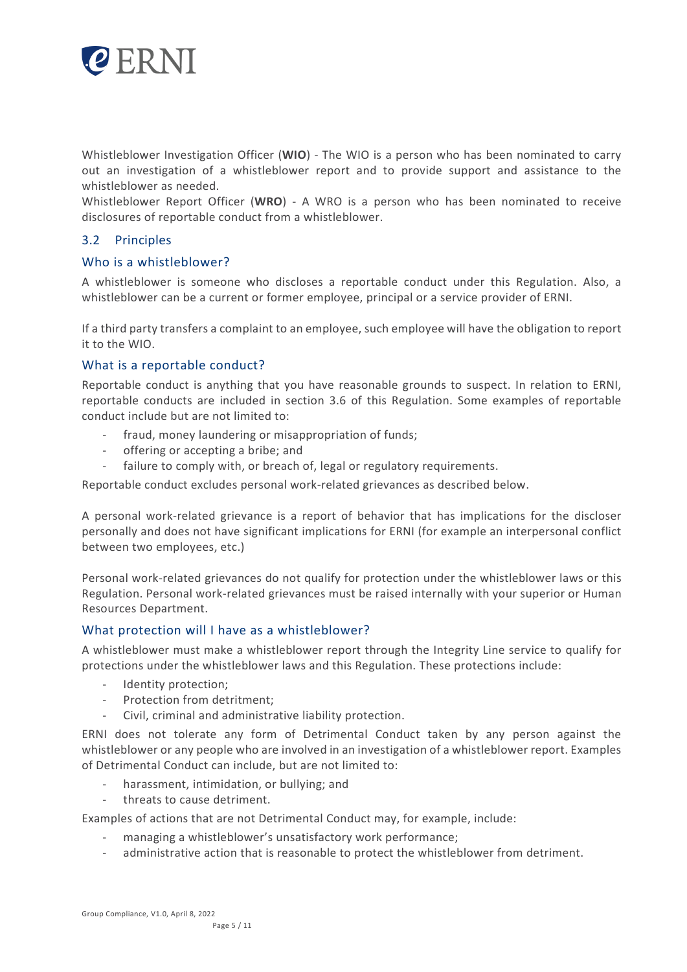

Whistleblower Investigation Officer (**WIO**) - The WIO is a person who has been nominated to carry out an investigation of a whistleblower report and to provide support and assistance to the whistleblower as needed.

Whistleblower Report Officer (**WRO**) - A WRO is a person who has been nominated to receive disclosures of reportable conduct from a whistleblower.

# 3.2 Principles

# Who is a whistleblower?

A whistleblower is someone who discloses a reportable conduct under this Regulation. Also, a whistleblower can be a current or former employee, principal or a service provider of ERNI.

If a third party transfers a complaint to an employee, such employee will have the obligation to report it to the WIO.

# What is a reportable conduct?

Reportable conduct is anything that you have reasonable grounds to suspect. In relation to ERNI, reportable conducts are included in section 3.6 of this Regulation. Some examples of reportable conduct include but are not limited to:

- fraud, money laundering or misappropriation of funds;
- offering or accepting a bribe; and
- failure to comply with, or breach of, legal or regulatory requirements.

Reportable conduct excludes personal work-related grievances as described below.

A personal work-related grievance is a report of behavior that has implications for the discloser personally and does not have significant implications for ERNI (for example an interpersonal conflict between two employees, etc.)

Personal work-related grievances do not qualify for protection under the whistleblower laws or this Regulation. Personal work-related grievances must be raised internally with your superior or Human Resources Department.

# What protection will I have as a whistleblower?

A whistleblower must make a whistleblower report through the Integrity Line service to qualify for protections under the whistleblower laws and this Regulation. These protections include:

- Identity protection;
- Protection from detritment;
- Civil, criminal and administrative liability protection.

ERNI does not tolerate any form of Detrimental Conduct taken by any person against the whistleblower or any people who are involved in an investigation of a whistleblower report. Examples of Detrimental Conduct can include, but are not limited to:

- harassment, intimidation, or bullying; and
- threats to cause detriment.

Examples of actions that are not Detrimental Conduct may, for example, include:

- managing a whistleblower's unsatisfactory work performance;
- administrative action that is reasonable to protect the whistleblower from detriment.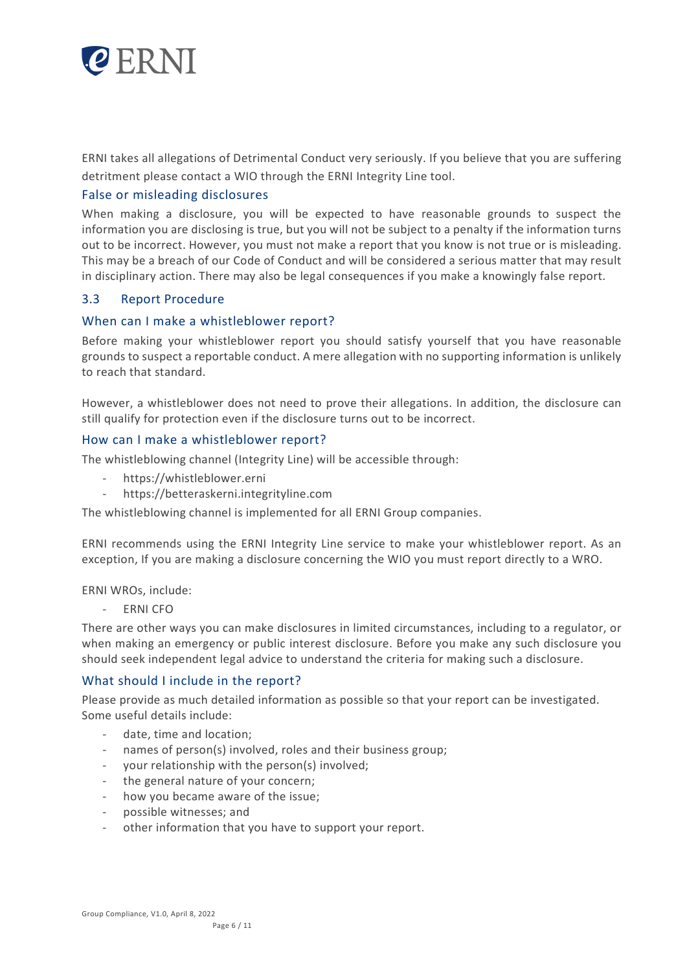

ERNI takes all allegations of Detrimental Conduct very seriously. If you believe that you are suffering detritment please contact a WIO through the ERNI Integrity Line tool.

# False or misleading disclosures

When making a disclosure, you will be expected to have reasonable grounds to suspect the information you are disclosing is true, but you will not be subject to a penalty if the information turns out to be incorrect. However, you must not make a report that you know is not true or is misleading. This may be a breach of our Code of Conduct and will be considered a serious matter that may result in disciplinary action. There may also be legal consequences if you make a knowingly false report.

# 3.3 Report Procedure

# When can I make a whistleblower report?

Before making your whistleblower report you should satisfy yourself that you have reasonable grounds to suspect a reportable conduct. A mere allegation with no supporting information is unlikely to reach that standard.

However, a whistleblower does not need to prove their allegations. In addition, the disclosure can still qualify for protection even if the disclosure turns out to be incorrect.

#### How can I make a whistleblower report?

The whistleblowing channel (Integrity Line) will be accessible through:

- https://whistleblower.erni
- https://betteraskerni.integrityline.com

The whistleblowing channel is implemented for all ERNI Group companies.

ERNI recommends using the ERNI Integrity Line service to make your whistleblower report. As an exception, If you are making a disclosure concerning the WIO you must report directly to a WRO.

ERNI WROs, include:

ERNI CFO

There are other ways you can make disclosures in limited circumstances, including to a regulator, or when making an emergency or public interest disclosure. Before you make any such disclosure you should seek independent legal advice to understand the criteria for making such a disclosure.

# What should I include in the report?

Please provide as much detailed information as possible so that your report can be investigated. Some useful details include:

- date, time and location;
- names of person(s) involved, roles and their business group;
- your relationship with the person(s) involved;
- the general nature of your concern;
- how you became aware of the issue;
- possible witnesses; and
- other information that you have to support your report.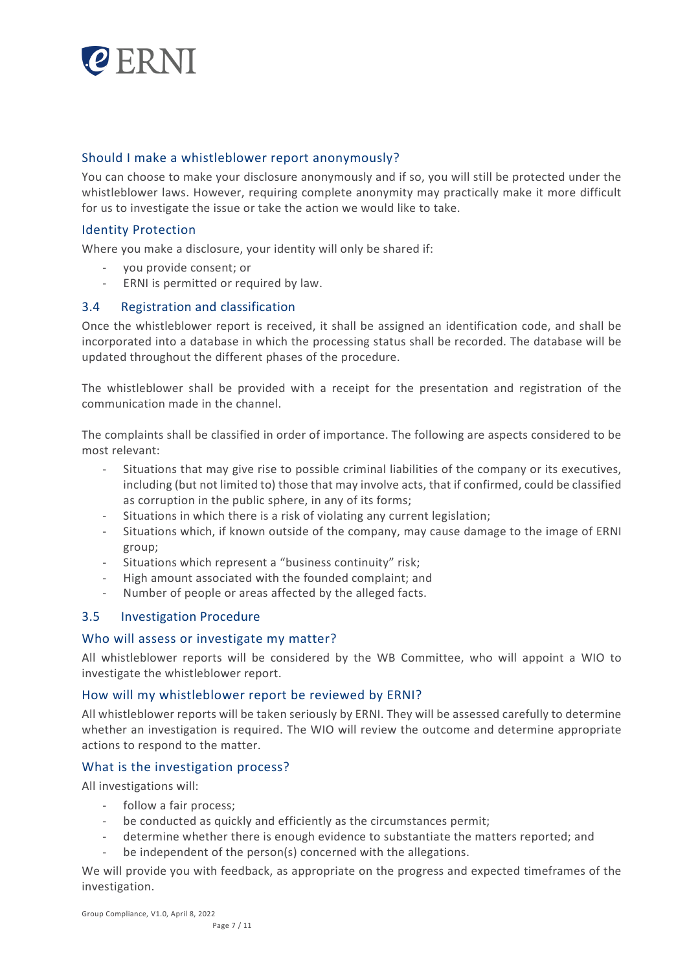

# Should I make a whistleblower report anonymously?

You can choose to make your disclosure anonymously and if so, you will still be protected under the whistleblower laws. However, requiring complete anonymity may practically make it more difficult for us to investigate the issue or take the action we would like to take.

# Identity Protection

Where you make a disclosure, your identity will only be shared if:

- you provide consent; or
- ERNI is permitted or required by law.

# 3.4 Registration and classification

Once the whistleblower report is received, it shall be assigned an identification code, and shall be incorporated into a database in which the processing status shall be recorded. The database will be updated throughout the different phases of the procedure.

The whistleblower shall be provided with a receipt for the presentation and registration of the communication made in the channel.

The complaints shall be classified in order of importance. The following are aspects considered to be most relevant:

- Situations that may give rise to possible criminal liabilities of the company or its executives, including (but not limited to) those that may involve acts, that if confirmed, could be classified as corruption in the public sphere, in any of its forms;
- Situations in which there is a risk of violating any current legislation;
- Situations which, if known outside of the company, may cause damage to the image of ERNI group;
- Situations which represent a "business continuity" risk;
- High amount associated with the founded complaint; and
- Number of people or areas affected by the alleged facts.

# 3.5 Investigation Procedure

#### Who will assess or investigate my matter?

All whistleblower reports will be considered by the WB Committee, who will appoint a WIO to investigate the whistleblower report.

# How will my whistleblower report be reviewed by ERNI?

All whistleblower reports will be taken seriously by ERNI. They will be assessed carefully to determine whether an investigation is required. The WIO will review the outcome and determine appropriate actions to respond to the matter.

#### What is the investigation process?

All investigations will:

- follow a fair process;
- be conducted as quickly and efficiently as the circumstances permit;
- determine whether there is enough evidence to substantiate the matters reported; and
- be independent of the person(s) concerned with the allegations.

We will provide you with feedback, as appropriate on the progress and expected timeframes of the investigation.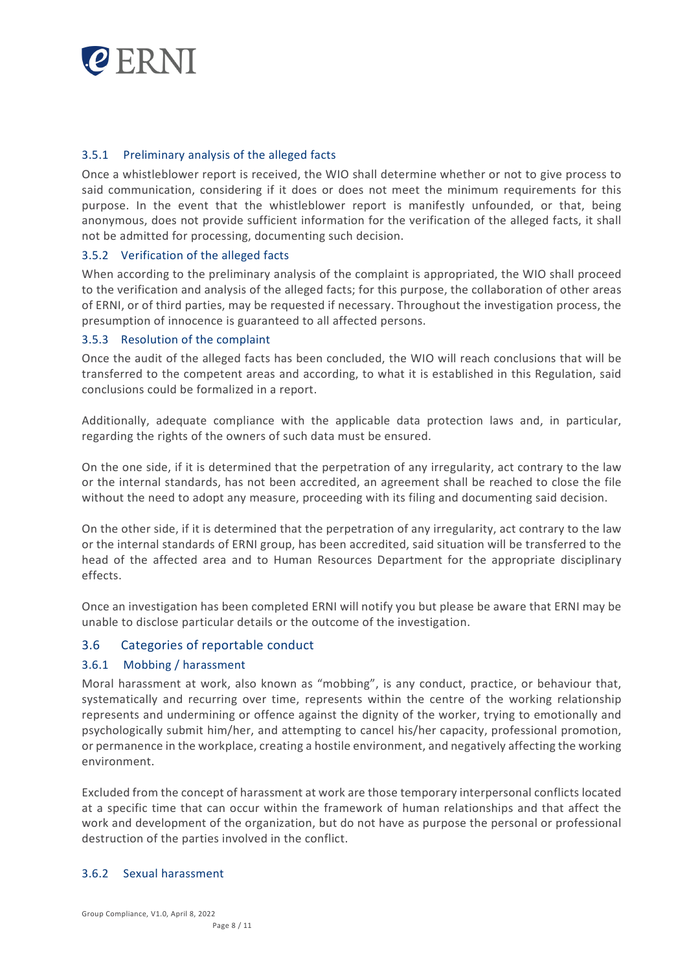

# 3.5.1 Preliminary analysis of the alleged facts

Once a whistleblower report is received, the WIO shall determine whether or not to give process to said communication, considering if it does or does not meet the minimum requirements for this purpose. In the event that the whistleblower report is manifestly unfounded, or that, being anonymous, does not provide sufficient information for the verification of the alleged facts, it shall not be admitted for processing, documenting such decision.

# 3.5.2 Verification of the alleged facts

When according to the preliminary analysis of the complaint is appropriated, the WIO shall proceed to the verification and analysis of the alleged facts; for this purpose, the collaboration of other areas of ERNI, or of third parties, may be requested if necessary. Throughout the investigation process, the presumption of innocence is guaranteed to all affected persons.

# 3.5.3 Resolution of the complaint

Once the audit of the alleged facts has been concluded, the WIO will reach conclusions that will be transferred to the competent areas and according, to what it is established in this Regulation, said conclusions could be formalized in a report.

Additionally, adequate compliance with the applicable data protection laws and, in particular, regarding the rights of the owners of such data must be ensured.

On the one side, if it is determined that the perpetration of any irregularity, act contrary to the law or the internal standards, has not been accredited, an agreement shall be reached to close the file without the need to adopt any measure, proceeding with its filing and documenting said decision.

On the other side, if it is determined that the perpetration of any irregularity, act contrary to the law or the internal standards of ERNI group, has been accredited, said situation will be transferred to the head of the affected area and to Human Resources Department for the appropriate disciplinary effects.

Once an investigation has been completed ERNI will notify you but please be aware that ERNI may be unable to disclose particular details or the outcome of the investigation.

# 3.6 Categories of reportable conduct

#### 3.6.1 Mobbing / harassment

Moral harassment at work, also known as "mobbing", is any conduct, practice, or behaviour that, systematically and recurring over time, represents within the centre of the working relationship represents and undermining or offence against the dignity of the worker, trying to emotionally and psychologically submit him/her, and attempting to cancel his/her capacity, professional promotion, or permanence in the workplace, creating a hostile environment, and negatively affecting the working environment.

Excluded from the concept of harassment at work are those temporary interpersonal conflicts located at a specific time that can occur within the framework of human relationships and that affect the work and development of the organization, but do not have as purpose the personal or professional destruction of the parties involved in the conflict.

#### 3.6.2 Sexual harassment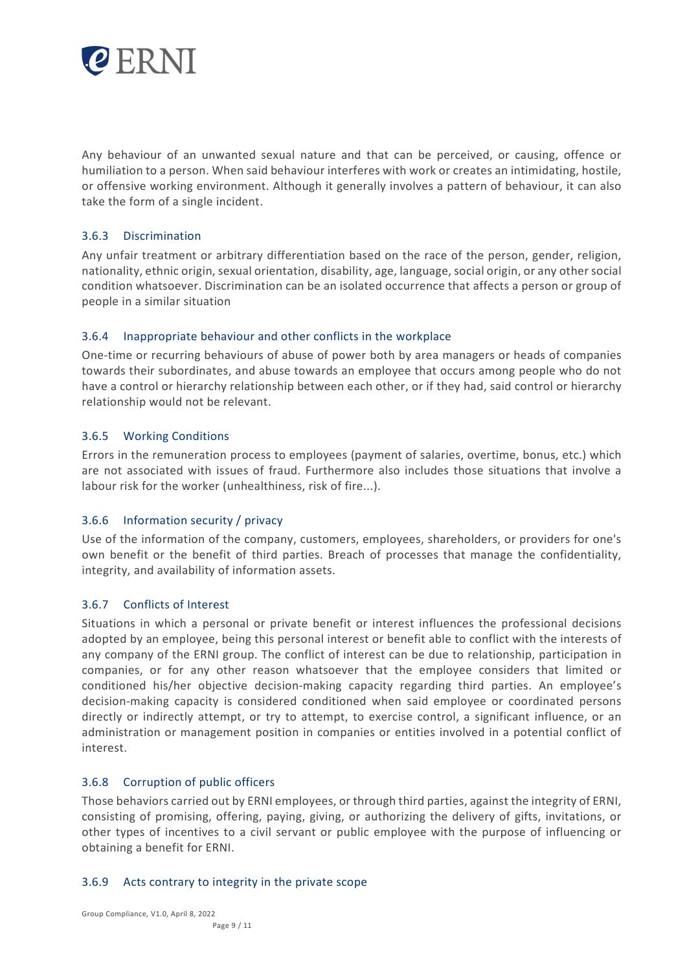

Any behaviour of an unwanted sexual nature and that can be perceived, or causing, offence or humiliation to a person. When said behaviour interferes with work or creates an intimidating, hostile, or offensive working environment. Although it generally involves a pattern of behaviour, it can also take the form of a single incident.

# 3.6.3 Discrimination

Any unfair treatment or arbitrary differentiation based on the race of the person, gender, religion, nationality, ethnic origin, sexual orientation, disability, age, language, social origin, or any other social condition whatsoever. Discrimination can be an isolated occurrence that affects a person or group of people in a similar situation

# 3.6.4 Inappropriate behaviour and other conflicts in the workplace

One-time or recurring behaviours of abuse of power both by area managers or heads of companies towards their subordinates, and abuse towards an employee that occurs among people who do not have a control or hierarchy relationship between each other, or if they had, said control or hierarchy relationship would not be relevant.

# 3.6.5 Working Conditions

Errors in the remuneration process to employees (payment of salaries, overtime, bonus, etc.) which are not associated with issues of fraud. Furthermore also includes those situations that involve a labour risk for the worker (unhealthiness, risk of fire...).

# 3.6.6 Information security / privacy

Use of the information of the company, customers, employees, shareholders, or providers for one's own benefit or the benefit of third parties. Breach of processes that manage the confidentiality, integrity, and availability of information assets.

#### 3.6.7 Conflicts of Interest

Situations in which a personal or private benefit or interest influences the professional decisions adopted by an employee, being this personal interest or benefit able to conflict with the interests of any company of the ERNI group. The conflict of interest can be due to relationship, participation in companies, or for any other reason whatsoever that the employee considers that limited or conditioned his/her objective decision-making capacity regarding third parties. An employee's decision-making capacity is considered conditioned when said employee or coordinated persons directly or indirectly attempt, or try to attempt, to exercise control, a significant influence, or an administration or management position in companies or entities involved in a potential conflict of interest.

# 3.6.8 Corruption of public officers

Those behaviors carried out by ERNI employees, or through third parties, against the integrity of ERNI, consisting of promising, offering, paying, giving, or authorizing the delivery of gifts, invitations, or other types of incentives to a civil servant or public employee with the purpose of influencing or obtaining a benefit for ERNI.

#### 3.6.9 Acts contrary to integrity in the private scope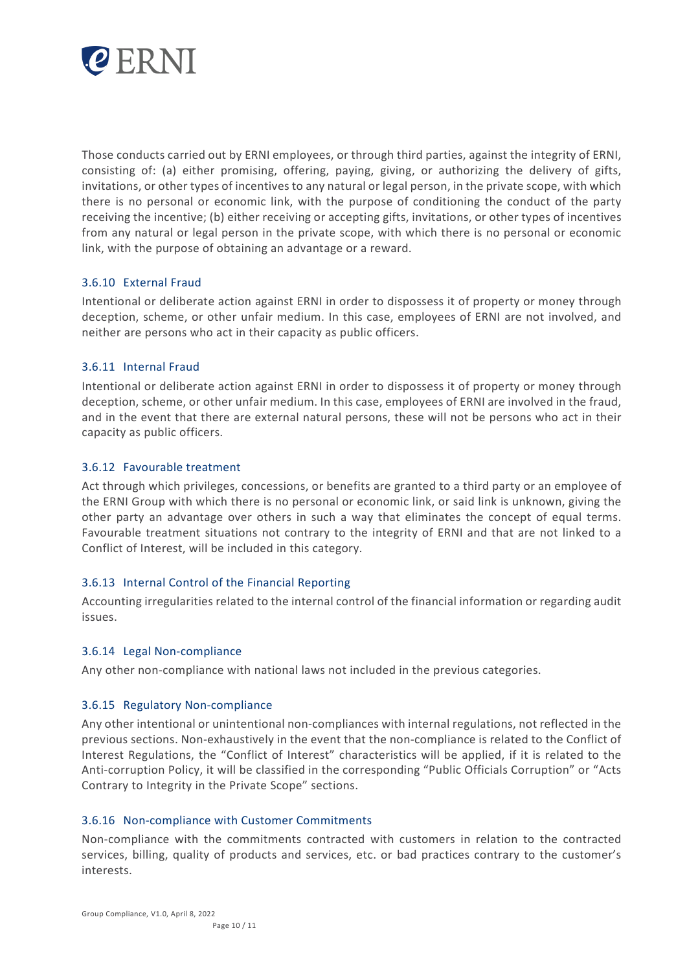

Those conducts carried out by ERNI employees, or through third parties, against the integrity of ERNI, consisting of: (a) either promising, offering, paying, giving, or authorizing the delivery of gifts, invitations, or other types of incentives to any natural or legal person, in the private scope, with which there is no personal or economic link, with the purpose of conditioning the conduct of the party receiving the incentive; (b) either receiving or accepting gifts, invitations, or other types of incentives from any natural or legal person in the private scope, with which there is no personal or economic link, with the purpose of obtaining an advantage or a reward.

# 3.6.10 External Fraud

Intentional or deliberate action against ERNI in order to dispossess it of property or money through deception, scheme, or other unfair medium. In this case, employees of ERNI are not involved, and neither are persons who act in their capacity as public officers.

# 3.6.11 Internal Fraud

Intentional or deliberate action against ERNI in order to dispossess it of property or money through deception, scheme, or other unfair medium. In this case, employees of ERNI are involved in the fraud, and in the event that there are external natural persons, these will not be persons who act in their capacity as public officers.

#### 3.6.12 Favourable treatment

Act through which privileges, concessions, or benefits are granted to a third party or an employee of the ERNI Group with which there is no personal or economic link, or said link is unknown, giving the other party an advantage over others in such a way that eliminates the concept of equal terms. Favourable treatment situations not contrary to the integrity of ERNI and that are not linked to a Conflict of Interest, will be included in this category.

# 3.6.13 Internal Control of the Financial Reporting

Accounting irregularities related to the internal control of the financial information or regarding audit issues.

#### 3.6.14 Legal Non-compliance

Any other non-compliance with national laws not included in the previous categories.

#### 3.6.15 Regulatory Non-compliance

Any other intentional or unintentional non-compliances with internal regulations, not reflected in the previous sections. Non-exhaustively in the event that the non-compliance is related to the Conflict of Interest Regulations, the "Conflict of Interest" characteristics will be applied, if it is related to the Anti-corruption Policy, it will be classified in the corresponding "Public Officials Corruption" or "Acts Contrary to Integrity in the Private Scope" sections.

#### 3.6.16 Non-compliance with Customer Commitments

Non-compliance with the commitments contracted with customers in relation to the contracted services, billing, quality of products and services, etc. or bad practices contrary to the customer's interests.